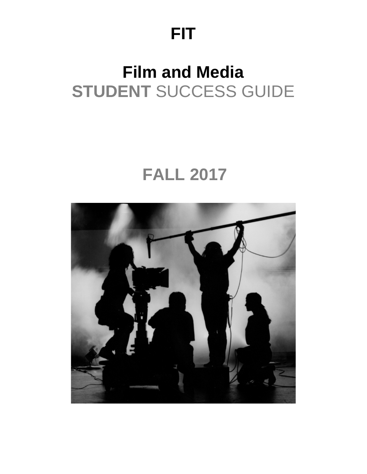# **FIT**

# **Film and Media STUDENT** SUCCESS GUIDE

# **FALL 2017**

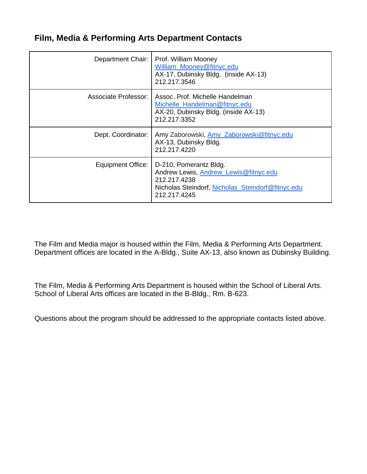### **Film, Media & Performing Arts Department Contacts**

| Department Chair:           | Prof. William Mooney<br>William_Mooney@fitnyc.edu<br>AX-17, Dubinsky Bldg. (inside AX-13)<br>212.217.3546                                            |
|-----------------------------|------------------------------------------------------------------------------------------------------------------------------------------------------|
| <b>Associate Professor:</b> | Assoc. Prof. Michelle Handelman<br>Michelle Handelman@fitnyc.edu<br>AX-20, Dubinsky Bldg. (inside AX-13)<br>212.217.3352                             |
| Dept. Coordinator:          | Amy Zaborowski, Amy Zaborowski@fitnyc.edu<br>AX-13, Dubinsky Bldg.<br>212.217.4220                                                                   |
| Equipment Office:           | D-210, Pomerantz Bldg.<br>Andrew Lewis, Andrew_Lewis@fitnyc.edu<br>212.217.4238<br>Nicholas Steindorf, Nicholas_Steindorf@fitnyc.edu<br>212.217.4245 |

The Film and Media major is housed within the Film, Media & Performing Arts Department. Department offices are located in the A-Bldg., Suite AX-13, also known as Dubinsky Building.

The Film, Media & Performing Arts Department is housed within the School of Liberal Arts. School of Liberal Arts offices are located in the B-Bldg., Rm. B-623.

Questions about the program should be addressed to the appropriate contacts listed above.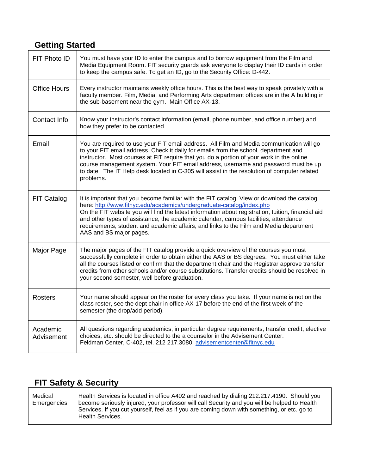## **Getting Started**

| FIT Photo ID           | You must have your ID to enter the campus and to borrow equipment from the Film and<br>Media Equipment Room. FIT security guards ask everyone to display their ID cards in order<br>to keep the campus safe. To get an ID, go to the Security Office: D-442.                                                                                                                                                                                                                           |
|------------------------|----------------------------------------------------------------------------------------------------------------------------------------------------------------------------------------------------------------------------------------------------------------------------------------------------------------------------------------------------------------------------------------------------------------------------------------------------------------------------------------|
| <b>Office Hours</b>    | Every instructor maintains weekly office hours. This is the best way to speak privately with a<br>faculty member. Film, Media, and Performing Arts department offices are in the A building in<br>the sub-basement near the gym. Main Office AX-13.                                                                                                                                                                                                                                    |
| Contact Info           | Know your instructor's contact information (email, phone number, and office number) and<br>how they prefer to be contacted.                                                                                                                                                                                                                                                                                                                                                            |
| Email                  | You are required to use your FIT email address. All Film and Media communication will go<br>to your FIT email address. Check it daily for emails from the school, department and<br>instructor. Most courses at FIT require that you do a portion of your work in the online<br>course management system. Your FIT email address, username and password must be up<br>to date. The IT Help desk located in C-305 will assist in the resolution of computer related<br>problems.        |
| FIT Catalog            | It is important that you become familiar with the FIT catalog. View or download the catalog<br>here: http://www.fitnyc.edu/academics/undergraduate-catalog/index.php<br>On the FIT website you will find the latest information about registration, tuition, financial aid<br>and other types of assistance, the academic calendar, campus facilities, attendance<br>requirements, student and academic affairs, and links to the Film and Media department<br>AAS and BS major pages. |
| Major Page             | The major pages of the FIT catalog provide a quick overview of the courses you must<br>successfully complete in order to obtain either the AAS or BS degrees. You must either take<br>all the courses listed or confirm that the department chair and the Registrar approve transfer<br>credits from other schools and/or course substitutions. Transfer credits should be resolved in<br>your second semester, well before graduation.                                                |
| <b>Rosters</b>         | Your name should appear on the roster for every class you take. If your name is not on the<br>class roster, see the dept chair in office AX-17 before the end of the first week of the<br>semester (the drop/add period).                                                                                                                                                                                                                                                              |
| Academic<br>Advisement | All questions regarding academics, in particular degree requirements, transfer credit, elective<br>choices, etc. should be directed to the a counselor in the Advisement Center:<br>Feldman Center, C-402, tel. 212 217.3080. advisementcenter@fitnyc.edu                                                                                                                                                                                                                              |

# **FIT Safety & Security**

| Medical<br>Emergencies | Health Services is located in office A402 and reached by dialing 212.217.4190. Should you<br>Become seriously injured, your professor will call Security and you will be helped to Health<br>Services. If you cut yourself, feel as if you are coming down with something, or etc. go to<br><b>Health Services.</b> |
|------------------------|---------------------------------------------------------------------------------------------------------------------------------------------------------------------------------------------------------------------------------------------------------------------------------------------------------------------|
|                        |                                                                                                                                                                                                                                                                                                                     |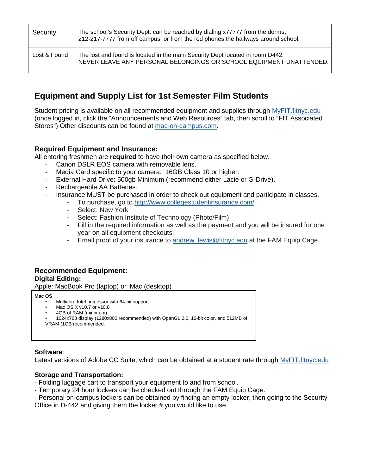| Security     | The school's Security Dept. can be reached by dialing x77777 from the dorms,<br>212-217-7777 from off campus, or from the red phones the hallways around school. |
|--------------|------------------------------------------------------------------------------------------------------------------------------------------------------------------|
| Lost & Found | The lost and found is located in the main Security Dept located in room D442.<br>NEVER LEAVE ANY PERSONAL BELONGINGS OR SCHOOL EQUIPMENT UNATTENDED.             |

### **Equipment and Supply List for 1st Semester Film Students**

Student pricing is available on all recommended equipment and supplies through [MyFIT.fitnyc.edu](http://myfit.fitnyc.edu/) (once logged in, click the "Announcements and Web Resources" tab, then scroll to "FIT Associated Stores") Other discounts can be found at [mac-on-campus.com.](http://mac-on-campus.com/)

### **Required Equipment and Insurance:**

All entering freshmen are **required** to have their own camera as specified below.

- Canon DSLR EOS camera with removable lens.
- Media Card specific to your camera: 16GB Class 10 or higher.
- External Hard Drive: 500gb Minimum (recommend either Lacie or G-Drive).
- Rechargeable AA Batteries.
	- Insurance MUST be purchased in order to check out equipment and participate in classes.
		- To purchase, go to<http://www.collegestudentinsurance.com/>
		- Select: New York
		- Select: Fashion Institute of Technology (Photo/Film)
		- Fill in the required information as well as the payment and you will be insured for one year on all equipment checkouts.
		- Email proof of your insurance to andrew lewis@fitnyc.edu at the FAM Equip Cage.

## **Recommended Equipment:**

**Digital Editing:** 

Apple: MacBook Pro (laptop) or iMac (desktop)

#### **Mac OS**

- Multicore Intel processor with 64-bit support
- Mac OS X v10.7 or v10.8
- 4GB of RAM (minimum)
- 1024x768 display (1280x800 recommended) with OpenGL 2.0, 16-bit color, and 512MB of VRAM (1GB recommended.

#### **Software**:

Latest versions of Adobe CC Suite, which can be obtained at a student rate through [MyFIT.fitnyc.edu](http://myfit.fitnyc.edu/)

### **Storage and Transportation:**

- Folding luggage cart to transport your equipment to and from school.
- Temporary 24 hour lockers can be checked out through the FAM Equip Cage.
- Personal on-campus lockers can be obtained by finding an empty locker, then going to the Security

Office in D-442 and giving them the locker # you would like to use.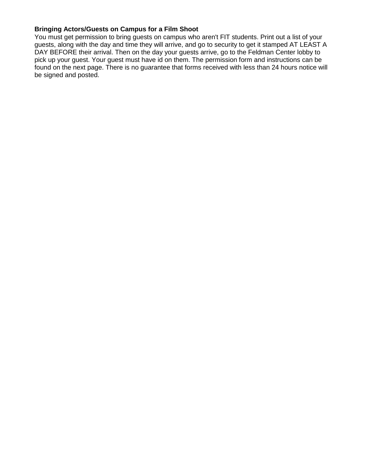#### **Bringing Actors/Guests on Campus for a Film Shoot**

You must get permission to bring guests on campus who aren't FIT students. Print out a list of your guests, along with the day and time they will arrive, and go to security to get it stamped AT LEAST A DAY BEFORE their arrival. Then on the day your guests arrive, go to the Feldman Center lobby to pick up your guest. Your guest must have id on them. The permission form and instructions can be found on the next page. There is no guarantee that forms received with less than 24 hours notice will be signed and posted.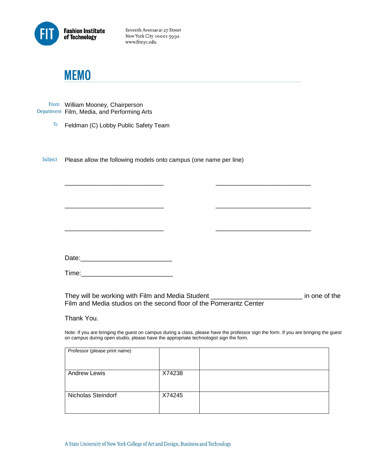

Seventh Avenue at 27 Street New York City 10001-5992 www.fitnyc.edu

## **MEMO**

From William Mooney, Chairperson Department Film, Media, and Performing Arts

To Feldman (C) Lobby Public Safety Team

Subject Please allow the following models onto campus (one name per line)

Date:\_\_\_\_\_\_\_\_\_\_\_\_\_\_\_\_\_\_\_\_\_\_\_\_\_

Time:\_\_\_\_\_\_\_\_\_\_\_\_\_\_\_\_\_\_\_\_\_\_\_\_\_

They will be working with Film and Media Student **\_\_\_\_\_\_\_\_\_\_\_\_\_\_\_\_\_\_\_\_\_\_\_\_** in one of the Film and Media studios on the second floor of the Pomerantz Center

\_\_\_\_\_\_\_\_\_\_\_\_\_\_\_\_\_\_\_\_\_\_\_\_\_\_\_ \_\_\_\_\_\_\_\_\_\_\_\_\_\_\_\_\_\_\_\_\_\_\_\_\_\_

\_\_\_\_\_\_\_\_\_\_\_\_\_\_\_\_\_\_\_\_\_\_\_\_\_\_\_ \_\_\_\_\_\_\_\_\_\_\_\_\_\_\_\_\_\_\_\_\_\_\_\_\_\_

\_\_\_\_\_\_\_\_\_\_\_\_\_\_\_\_\_\_\_\_\_\_\_\_\_\_\_ \_\_\_\_\_\_\_\_\_\_\_\_\_\_\_\_\_\_\_\_\_\_\_\_\_\_

Thank You.

Note: If you are bringing the guest on campus during a class, please have the professor sign the form. If you are bringing the guest on campus during open studio, please have the appropriate technologist sign the form.

| Professor (please print name) |        |  |
|-------------------------------|--------|--|
| <b>Andrew Lewis</b>           | X74238 |  |
| <b>Nicholas Steindorf</b>     | X74245 |  |

A State University of New York College of Art and Design, Business and Technology